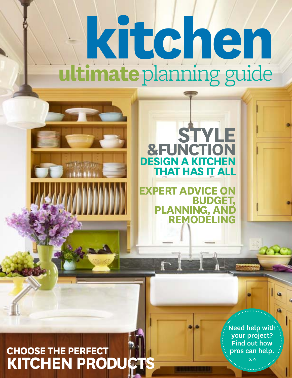# **kitchen ultimate**planning guide



**EXPERT ADVICE ON BUDGET, PLANNING, AND REMODELING**

# **CHOOSE THE PERFECT KITCHEN PRODUCT**

Need help with your project? Find out how pros can help. p. 9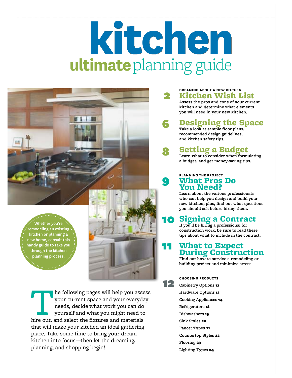# **kitchen ultimate**planning guide

2

8

9



Whether you're remodeling an existing kitchen or planning a new home, consult this handy guide to take you through the kitchen planning process.



#### **DREAMING ABOUT A NEW KITCHEN** Kitchen Wish List

**Assess the pros and cons of your current kitchen and determine what elements you will need in your new kitchen.** 

#### Designing the Space **Take a look at sample floor plans,**  6

**recommended design guidelines, and kitchen safety tips.**

# Setting a Budget

**Learn what to consider when formulating a budget, and get money-saving tips.**

#### **PLANNING THE PROJECT** What Pros Do You Need?

**Learn about the various professionals who can help you design and build your new kitchen; plus, find out what questions you should ask before hiring them.**

#### Signing a Contract 10

**If you'll be hiring a professional for construction work, be sure to read these tips about what to include in the contract.**

#### What to Expect During Construction 11

**Find out how to survive a remodeling or building project and minimize stress.**

**CHOOSING PRODUCTS**

12

**Cabinetry Options** 12 **Hardware Options** 13 **Cooking Appliances** 14 **Refrigerators** 18 **Dishwashers** 19 **Sink Styles** 20 **Faucet Types** 21 **Countertop Styles** 22 **Flooring** 23 **Lighting Types** 24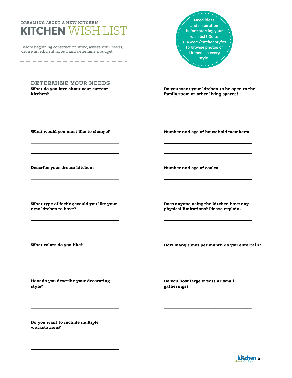Before beginning construction work, assess your needs, devise an efficient layout, and determine a budget.

#### Need ideas and inspiration before starting your wish list? Go to *BHGcom/KitchenStyles* to browse photos of kitchens in every style.

#### **DETERMINE YOUR NEEDS** What do you love about your current

 $\overline{\phantom{a}}$  , and the contract of the contract of the contract of the contract of the contract of the contract of the contract of the contract of the contract of the contract of the contract of the contract of the contrac

 $\overline{\phantom{a}}$  , and the contract of the contract of the contract of the contract of the contract of the contract of the contract of the contract of the contract of the contract of the contract of the contract of the contrac

\_\_\_\_\_\_\_\_\_\_\_\_\_\_\_\_\_\_\_\_\_\_\_\_\_\_\_\_\_\_\_\_\_\_\_\_\_\_\_\_\_\_\_\_

 $\overline{\phantom{a}}$  , and the contract of the contract of the contract of the contract of the contract of the contract of the contract of the contract of the contract of the contract of the contract of the contract of the contrac

 $\overline{\phantom{a}}$  , and the contract of the contract of the contract of the contract of the contract of the contract of the contract of the contract of the contract of the contract of the contract of the contract of the contrac

\_\_\_\_\_\_\_\_\_\_\_\_\_\_\_\_\_\_\_\_\_\_\_\_\_\_\_\_\_\_\_\_\_\_\_\_\_\_\_\_\_\_\_\_

kitchen?

Do you want your kitchen to be open to the family room or other living spaces?

\_\_\_\_\_\_\_\_\_\_\_\_\_\_\_\_\_\_\_\_\_\_\_\_\_\_\_\_\_\_\_\_\_\_\_\_\_\_\_\_\_\_\_\_

\_\_\_\_\_\_\_\_\_\_\_\_\_\_\_\_\_\_\_\_\_\_\_\_\_\_\_\_\_\_\_\_\_\_\_\_\_\_\_\_\_\_\_\_

Number and age of household members:

\_\_\_\_\_\_\_\_\_\_\_\_\_\_\_\_\_\_\_\_\_\_\_\_\_\_\_\_\_\_\_\_\_\_\_\_\_\_\_\_\_\_\_\_

\_\_\_\_\_\_\_\_\_\_\_\_\_\_\_\_\_\_\_\_\_\_\_\_\_\_\_\_\_\_\_\_\_\_\_\_\_\_\_\_\_\_\_\_

What would you most like to change?

\_\_\_\_\_\_\_\_\_\_\_\_\_\_\_\_\_\_\_\_\_\_\_\_\_\_\_\_\_\_\_\_\_\_\_\_\_\_\_\_\_\_\_\_

Describe your dream kitchen:

What type of feeling would you like your new kitchen to have?

\_\_\_\_\_\_\_\_\_\_\_\_\_\_\_\_\_\_\_\_\_\_\_\_\_\_\_\_\_\_\_\_\_\_\_\_\_\_\_\_\_\_\_\_

 $\overline{\phantom{a}}$  , and the contract of the contract of the contract of the contract of the contract of the contract of the contract of the contract of the contract of the contract of the contract of the contract of the contrac

 $\overline{\phantom{a}}$  , and the contract of the contract of the contract of the contract of the contract of the contract of the contract of the contract of the contract of the contract of the contract of the contract of the contrac

\_\_\_\_\_\_\_\_\_\_\_\_\_\_\_\_\_\_\_\_\_\_\_\_\_\_\_\_\_\_\_\_\_\_\_\_\_\_\_\_\_\_\_\_

\_\_\_\_\_\_\_\_\_\_\_\_\_\_\_\_\_\_\_\_\_\_\_\_\_\_\_\_\_\_\_\_\_\_\_\_\_\_\_\_\_\_\_\_

 $\overline{\phantom{a}}$  , and the contract of the contract of the contract of the contract of the contract of the contract of the contract of the contract of the contract of the contract of the contract of the contract of the contrac

 $\overline{\phantom{a}}$  , and the contract of the contract of the contract of the contract of the contract of the contract of the contract of the contract of the contract of the contract of the contract of the contract of the contrac

\_\_\_\_\_\_\_\_\_\_\_\_\_\_\_\_\_\_\_\_\_\_\_\_\_\_\_\_\_\_\_\_\_\_\_\_\_\_\_\_\_\_\_\_

\_\_\_\_\_\_\_\_\_\_\_\_\_\_\_\_\_\_\_\_\_\_\_\_\_\_\_\_\_\_\_\_\_\_\_\_\_\_\_\_\_\_\_\_

Number and age of cooks:

Does anyone using the kitchen have any physical limitations? Please explain.

\_\_\_\_\_\_\_\_\_\_\_\_\_\_\_\_\_\_\_\_\_\_\_\_\_\_\_\_\_\_\_\_\_\_\_\_\_\_\_\_\_\_\_\_

\_\_\_\_\_\_\_\_\_\_\_\_\_\_\_\_\_\_\_\_\_\_\_\_\_\_\_\_\_\_\_\_\_\_\_\_\_\_\_\_\_\_\_\_

\_\_\_\_\_\_\_\_\_\_\_\_\_\_\_\_\_\_\_\_\_\_\_\_\_\_\_\_\_\_\_\_\_\_\_\_\_\_\_\_\_\_\_\_

\_\_\_\_\_\_\_\_\_\_\_\_\_\_\_\_\_\_\_\_\_\_\_\_\_\_\_\_\_\_\_\_\_\_\_\_\_\_\_\_\_\_\_\_

\_\_\_\_\_\_\_\_\_\_\_\_\_\_\_\_\_\_\_\_\_\_\_\_\_\_\_\_\_\_\_\_\_\_\_\_\_\_\_\_\_\_\_\_

\_\_\_\_\_\_\_\_\_\_\_\_\_\_\_\_\_\_\_\_\_\_\_\_\_\_\_\_\_\_\_\_\_\_\_\_\_\_\_\_\_\_\_\_

What colors do you like?

How many times per month do you entertain?

How do you describe your decorating style?

Do you host large events or small gatherings?

Do you want to include multiple workstations?

**kitchen** 2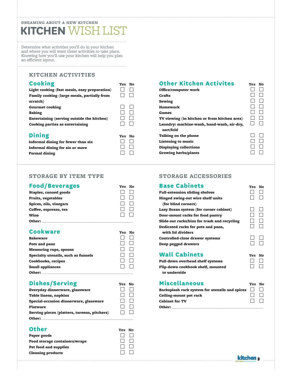Determine what activities you'll do in your kitchen and where you will want these activities to take place. Knowing how you'll use your kitchen will help you plan an efficient layout.

#### **kitchen ACTIVITIES**

#### **Cooking**

| <b>Dining</b>                                | Yes | Nο |
|----------------------------------------------|-----|----|
| Cooking parties as entertaining              |     |    |
| Entertaining (serving outside the kitchen)   |     |    |
| Baking                                       |     |    |
| Gourmet cooking                              |     |    |
| scratch)                                     |     |    |
| Family cooking (large meals, partially from  |     |    |
| Light cooking (fast meals, easy preparation) |     |    |
|                                              |     |    |

 **Yes No**

 **Yes No**

 $\Box$  $\Box$ 

 $\Box$ 

 **Yes No**

 **Yes No**

 **Yes No**

#### **Dining**

| Informal dining for fewer than six | $\mathbf{I}$ |
|------------------------------------|--------------|
| Informal dining for six or more    | $\mathbf{I}$ |
| <b>Formal dining</b>               | $\Box$       |

#### **Storage by Item Type**

#### **Food/Beverages**

| Staples, canned goods  |  |
|------------------------|--|
| Fruits, vegetables     |  |
| Spices, oils, vinegars |  |
| Coffee, espresso, tea  |  |
| Wine                   |  |
| Other:                 |  |

#### **Cookware**

| <b>Bakeware</b>                     |  |
|-------------------------------------|--|
| Pots and pans                       |  |
| Measuring cups, spoons              |  |
| Specialty utensils, such as funnels |  |
| Cookbooks, recipes                  |  |
| <b>Small appliances</b>             |  |
| Other:                              |  |

### **Dishes/Serving**

| Everyday dinnerware, glassware               |              |              |
|----------------------------------------------|--------------|--------------|
| Table linens, napkins                        |              |              |
| Special-occasion dinnerware, glassware       |              | $\mathbf{L}$ |
| <b>Flatware</b>                              | $\mathbf{L}$ | $\mathbf{1}$ |
| Serving pieces (platters, tureens, pitchers) |              |              |
| Other:                                       |              |              |
|                                              |              |              |

## **Other**

| Paper goods                   | $\mathbb{R}$ |
|-------------------------------|--------------|
| Food storage containers/wraps | $\mathbf{L}$ |
| Pet food and supplies         | $\mathbf{L}$ |
| <b>Cleaning products</b>      | $\mathbf{L}$ |

### **Other Kitchen Activites**

| Other Kitchen Activites                      | Yes | Nο |
|----------------------------------------------|-----|----|
| Office/computer work                         |     |    |
| Crafts                                       |     |    |
| Sewing                                       |     |    |
| Homework                                     |     |    |
| Games                                        |     |    |
| TV viewing (in kitchen or from kitchen area) |     |    |
| Laundry: machine-wash, hand-wash, air-dry,   |     |    |
| sort/fold                                    |     |    |
| Talking on the phone                         |     |    |
| Listening to music                           |     |    |
| Displaying collections                       |     |    |
| Growing herbs/plants                         |     |    |
|                                              |     |    |

#### **Storage Accessories**

| <b>Base Cabinets</b>                           | <b>Yes</b> | Nο |
|------------------------------------------------|------------|----|
| Full-extension sliding shelves                 |            |    |
| Hinged swing-out wire shelf units              |            |    |
| (for blind corners)                            |            |    |
| Lazy Susan system (for corner cabinet)         |            |    |
| Door-mount racks for food pantry               |            |    |
| Slide-out racks/bins for trash and recycling   |            |    |
| Dedicated racks for pots and pans,             |            |    |
| with lid dividers                              |            |    |
| Controlled-close drawer systems                |            |    |
| Deep pegged drawers                            |            |    |
|                                                |            |    |
| <b>Wall Cabinets</b>                           | Yes        | No |
| Pull-down overhead shelf systems               |            |    |
| Flip-down cookbook shelf, mounted              |            |    |
| to underside                                   |            |    |
| <b>Miscellaneous</b>                           | Yes        | No |
| Backsplash rack system for utensils and spices |            |    |
| Ceiling-mount pot rack                         |            |    |
| <b>Cabinet for TV</b>                          |            |    |

**kitchen** 3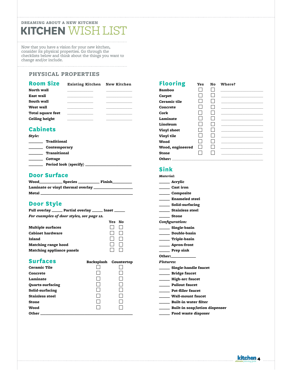Now that you have a vision for your new kitchen, consider its physical properties. Go through the checklists below and think about the things you want to change and/or include.

#### **PHYSICAL PROPERTIES**

| <b>Room Size</b>    | Existing Kitchen New Kitchen |  |
|---------------------|------------------------------|--|
| $37 - 11 - 22 = 11$ |                              |  |

| North wall               |  |
|--------------------------|--|
| East wall                |  |
| South wall               |  |
| West wall                |  |
| <b>Total square feet</b> |  |
| <b>Ceiling height</b>    |  |

#### **Cabinets**

| Style: |                       |
|--------|-----------------------|
|        | <b>Traditional</b>    |
|        | Contemporary          |
|        | <b>Transitional</b>   |
|        | Cottage               |
|        | Period look (specify) |

#### **Door Surface**

| Wood                              | <b>Species</b> | Finish |
|-----------------------------------|----------------|--------|
| Laminate or vinyl thermal overlay |                |        |
| Metal                             |                |        |

# **Door Style**

| Full overlay _______ Partial overlay _______ Inset ______ | Yes<br>Nο |  |
|-----------------------------------------------------------|-----------|--|
| For examples of door styles, see page 12.                 |           |  |
|                                                           |           |  |
| <b>Multiple surfaces</b>                                  |           |  |
| <b>Cabinet hardware</b>                                   |           |  |
| Island                                                    |           |  |
| <b>Matching range hood</b>                                |           |  |
| <b>Matching appliance panels</b>                          |           |  |

| <b>Surfaces</b>        | Backsplash Countertop |
|------------------------|-----------------------|
| <b>Ceramic Tile</b>    |                       |
| Concrete               |                       |
| Laminate               |                       |
| Quartz-surfacing       |                       |
| Solid-surfacing        |                       |
| <b>Stainless steel</b> |                       |
| <b>Stone</b>           |                       |
| Wood                   |                       |
| Other                  |                       |

| <b>Flooring</b>     | Yes          | N٥ | Where? |
|---------------------|--------------|----|--------|
| <b>Bamboo</b>       |              |    |        |
| Carpet              |              |    |        |
| <b>Ceramic tile</b> |              |    |        |
| Concrete            |              |    |        |
| Cork                |              |    |        |
| Laminate            |              |    |        |
| Linoleum            |              |    |        |
| Vinyl sheet         |              |    |        |
| Vinyl tile          |              |    |        |
| Wood                |              |    |        |
| Wood, engineered    | $\mathsf{I}$ |    |        |
| <b>Stone</b>        |              |    |        |
| Other:              |              |    |        |

#### **Sink**

| Material:                                       |
|-------------------------------------------------|
| ______ Acrylic                                  |
| _______ Cast iron                               |
| ______ Composite                                |
| Enameled steel                                  |
| ______ Solid-surfacing                          |
| _____ Stainless steel                           |
| <b>Stone</b>                                    |
| Configuration:                                  |
| ____ Single-basin                               |
| _____ Double-basin                              |
| _____ Triple-basin                              |
| _____ Apron-front                               |
| ____ Prep sink                                  |
|                                                 |
| Fixtures:                                       |
| ______ Single-handle faucet                     |
| _____ Bridge faucet                             |
| - High-arc faucet                               |
| <b>Example 1</b> Pullout faucet                 |
| Pot-filler faucet                               |
| _____ Wall-mount faucet                         |
| _______ Built-in water filter                   |
| <b>Example 1</b> Built-in soap/lotion dispenser |
|                                                 |

\_\_\_\_\_\_ Food waste disposer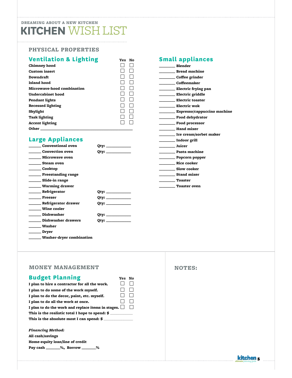#### **PHYSICAL PROPERTIES**

| <b>Ventilation &amp; Lighting</b> | Yes No | <b>Small</b> |
|-----------------------------------|--------|--------------|
| Chimney hood                      |        |              |
| <b>Custom</b> insert              |        |              |
| Downdraft                         |        |              |
| <b>Island hood</b>                |        |              |
| Microwave-hood combination        |        |              |
| <b>Undercabinet hood</b>          |        |              |
| Pendant lights                    |        |              |
| <b>Recessed lighting</b>          |        |              |
| Skylight                          |        |              |
| <b>Task lighting</b>              |        |              |
| <b>Accent lighting</b>            |        |              |
| Other                             |        |              |

#### **Large Appliances**

| Conventional oven             | Qty: _____________  |
|-------------------------------|---------------------|
| Convection oven               |                     |
| Microwave oven                |                     |
| Steam oven                    |                     |
| ______ Cooktop                |                     |
| _____ Freestanding range      |                     |
| ______ Slide-in range         |                     |
| ______ Warming drawer         |                     |
| Refrigerator                  |                     |
| Freezer                       | Qty: _____________  |
| Refrigerator drawer           | Qty: ____________   |
| <b>Wine cooler</b>            |                     |
| Dishwasher                    | $Q$ ty: ___________ |
| Dishwasher drawers            | Qty: ____________   |
| ____ Washer                   |                     |
| Dryer                         |                     |
| ____ Washer-dryer combination |                     |

#### **Small appliances** \_\_\_\_\_\_\_\_\_ Blender \_\_\_\_\_\_\_\_\_ Bread machine \_\_\_\_\_\_\_\_\_ Coffee grinder \_\_\_\_\_\_\_\_\_ Coffeemaker \_\_\_\_\_\_\_\_\_ Electric frying pan \_\_\_\_\_\_\_\_\_ Electric griddle \_\_\_\_\_\_\_\_\_ Electric toaster \_\_\_\_\_\_\_\_\_ Electric wok \_\_\_\_\_\_\_\_\_ Espresso/cappuccino machine Food dehydrator \_\_\_\_\_\_\_\_\_ Food processor \_\_\_\_\_\_\_\_\_ Hand mixer \_\_\_\_\_\_\_\_\_ Ice cream/sorbet maker  $\equiv$  Indoor grill  $\_$  Juicer \_\_\_\_\_\_\_\_\_ Pasta machine \_\_\_\_\_\_\_\_\_ Popcorn popper \_\_\_\_\_\_\_\_\_ Rice cooker \_\_\_\_\_\_\_\_\_ Slow cooker \_\_\_\_\_\_\_\_\_ Stand mixer  $\equiv$  Toaster \_\_\_\_\_\_\_\_\_ Toaster oven

#### **MONEY MANAGEMENT**

## **Budget Planning**

Home-equity loan/line of credit Pay cash \_\_\_\_\_\_%, Borrow \_\_\_\_\_\_%

| I plan to hire a contractor for all the work.             |  |
|-----------------------------------------------------------|--|
| I plan to do some of the work myself.                     |  |
| I plan to do the decor, paint, etc. myself.               |  |
| I plan to do all the work at once.                        |  |
| I plan to do the work and replace items in stages. $\Box$ |  |
| This is the realistic total I hope to spend: $\$\_$       |  |
| This is the absolute most I can spend: $\$\_$             |  |
|                                                           |  |
| <b>Financing Method:</b>                                  |  |
| All cash/savings                                          |  |

 **Yes No**

**NOTES:**

**kitchen** 5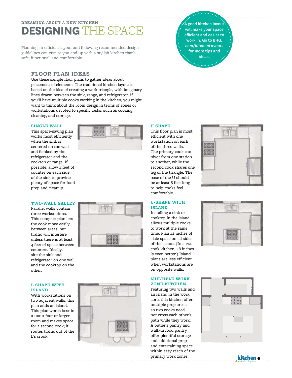# **DREAMING ABOUT A NEW kitchen DESIGNING**THE SPACE

Planning an efficient layout and following recommended design guidelines can ensure you end up with a stylish kitchen that's safe, functional, and comfortable.

#### **FLOOR PLAN IDEAS**

Use these sample floor plans to gather ideas about placement of elements. The traditional kitchen layout is based on the idea of creating a work triangle, with imaginary lines drawn between the sink, range, and refrigerator. If you'll have multiple cooks working in the kitchen, you might want to think about the room design in terms of zones or workstations devoted to specific tasks, such as cooking, cleaning, and storage.

#### **Single Wall**

This space-saving plan works most efficiently when the sink is centered on the wall and flanked by the refrigerator and the cooktop or range. If possible, allow 4 feet of counter on each side of the sink to provide plenty of space for food prep and cleanup.

#### **Two-Wall Galley**

Parallel walls contain three workstations. This compact plan lets the cook move easily between areas, but traffic will interfere unless there is at least 4 feet of space between counters. Ideally, site the sink and refrigerator on one wall and the cooktop on the other.

#### **L Shape with Island**

With workstations on two adjacent walls, this plan adds an island. This plan works best in a 10×10-foot or larger room and makes space for a second cook; it routes traffic out of the L's crook.







.<br>A good kitchen layouṫ will make your space efficient and easier to work in. Go to BHG*. com/KitchenLayouts* for more tips and ideas.

#### **U Shape**

This floor plan is most efficient with one workstation on each of the three walls. The primary cook can pivot from one station to another, while the second cook shares one leg of the triangle. The base of the U should be at least 8 feet long to help cooks feel comfortable.

#### **U-Shape with Island**

Installing a sink or cooktop in the island allows multiple cooks to work at the same time. Plan 42 inches of aisle space on all sides of the island. (In a twocook kitchen, 48 inches is even better.) Island plans are less efficient when workstations are on opposite walls.

#### **Multiple Work Zone Kitchen**

Featuring two walls and an island in the work core, this kitchen offers multiple prep areas so two cooks need not cross each other's path while they work. A butler's pantry and walk-in food pantry offer plentiful storage and additional prep and entertaining space within easy reach of the primary work zones. **kitchen** 



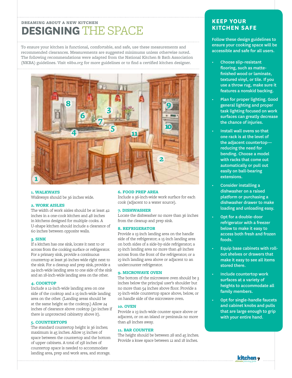# **DREAMING ABOUT A NEW kitchen DESIGNING**THE SPACE

To ensure your kitchen is functional, comfortable, and safe, use these measurements and recommended clearances. Measurements are suggested minimums unless otherwise noted. The following recommendations were adapted from the National Kitchen & Bath Association (NKBA) guidelines. Visit *nkba.org* for more guidelines or to find a certified kitchen designer.



#### **1. Walkways**

Walkways should be 36 inches wide.

#### **2. Work Aisles**

The width of work aisles should be at least 42 inches in a one-cook kitchen and 48 inches in kitchens designed for multiple cooks. A U-shape kitchen should include a clearance of 60 inches between opposite walls.

#### **3. Sink**

If a kitchen has one sink, locate it next to or across from the cooking surface or refrigerator. For a primary sink, provide a continuous countertop at least 36 inches wide right next to the sink. For a cleanup and prep sink, provide a 24-inch-wide landing area to one side of the sink and an 18-inch-wide landing area on the other.

#### **4. Cooktop**

Include a 12-inch-wide landing area on one side of the cooktop and a 15-inch-wide landing area on the other. (Landing areas should be at the same height as the cooktop.) Allow 24 inches of clearance above cooktop (30 inches if there is unprotected cabinetry above it).

#### **5. Countertops**

The standard countertop height is 36 inches; maximum is 45 inches. Allow 15 inches of space between the countertop and the bottom of upper cabinets. A total of 158 inches of countertop space is needed to accommodate landing area, prep and work area, and storage.

#### **6. Food Prep Area**

Include a 36-inch-wide work surface for each cook (adjacent to a water source).

#### **7. DishwasheR**

Locate the dishwasher no more than 36 inches from the cleanup and prep sink.

#### **8. Refrigerator**

Provide a 15-inch landing area on the handle side of the refrigerator; a 15-inch landing area on both sides of a side-by-side refrigerator; a 15-inch landing area no more than 48 inches across from the front of the refrigerator; or a 15-inch landing area above or adjacent to an undercounter refrigerator.

#### **9. Microwave OVEN**

The bottom of the microwave oven should be 3 inches below the principal user's shoulder but no more than 54 inches above floor. Provide a 15-inch-wide countertop space above, below, or on handle side of the microwave oven.

#### **10. Oven**

Provide a 15-inch-wide counter space above or adjacent, or on an island or peninsula no more than 48 inches away.

#### **11. Bar counter**

The height should be between 28 and 45 inches. Provide a knee space between 12 and 18 inches.

#### **KEEP YOUR kitchen SAFE**

Follow these design guidelines to ensure your cooking space will be accessible and safe for all users.

- Choose slip-resistant flooring, such as mattefinished wood or laminate, textured vinyl, or tile. If you use a throw rug, make sure it features a nonskid backing.
- Plan for proper lighting. Good general lighting and proper task lighting focused on work surfaces can greatly decrease the chance of injuries.
- Install wall ovens so that one rack is at the level of the adjacent countertop reducing the need for bending. Choose a model with racks that come out automatically or pull out easily on ball-bearing extensions.
- Consider installing a dishwasher on a raised platform or purchasing a dishwasher drawer to make loading and unloading easy.
- Opt for a double-door refrigerator with a freezer below to make it easy to access both fresh and frozen foods.
- **Equip base cabinets with roll**out shelves or drawers that make it easy to see all items stored there.
- Include countertop work surfaces at a variety of heights to accommodate all family members.
- Opt for single-handle faucets and cabinet knobs and pulls that are large enough to grip with your entire hand.

**kitchen** 7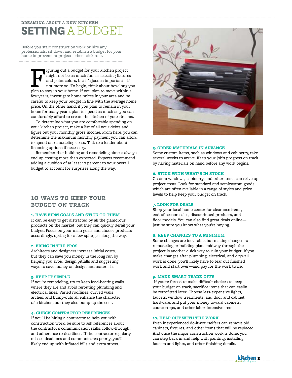# **DREAMING ABOUT A NEW kitchen SETTING A BUDGET**

Before you start construction work or hire any professionals, sit down and establish a budget for your home improvement project—then stick to it.

Figuring out a budget for your kitchen project might not be as much fun as selecting fixtures and paint colors, but it's just as important—if not more so. To begin, think about how long yo plan to stay in your home. If you might not be as much fun as selecting fixtures and paint colors, but it's just as important—if not more so. To begin, think about how long you few years, investigate home prices in your area and be careful to keep your budget in line with the average home price. On the other hand, if you plan to remain in your home for many years, plan to spend as much as you can comfortably afford to create the kitchen of your dreams.

To determine what you are comfortable spending on your kitchen project, make a list of all your debts and figure out your monthly gross income. From here, you can determine the maximum monthly payment you can afford to spend on remodeling costs. Talk to a lender about financing options if necessary.

Remember that building and remodeling almost always end up costing more than expected. Experts recommend adding a cushion of at least 10 percent to your overall budget to account for surprises along the way.

#### **10 WAYS TO KEEP YOUR BUDGET ON TRACK**

#### **1. HAVE FIRM GOALS AND STICK TO THEM**

It can be easy to get distracted by all the glamorous products on the market, but they can quickly derail your budget. Focus on your main goals and choose products accordingly, opting for a few splurges along the way.

#### **2. BRING IN THE PROS**

Architects and designers increase initial costs, but they can save you money in the long run by helping you avoid design pitfalls and suggesting ways to save money on design and materials.

#### **3. KEEP IT SIMPLE**

If you're remodeling, try to keep load-bearing walls where they are and avoid rerouting plumbing and electrical lines. Varied rooflines, curved walls, arches, and bump-outs all enhance the character of a kitchen, but they also bump up the cost.

#### **4. CHECK CONTRACTOR REFERENCES**

If you'll be hiring a contractor to help you with construction work, be sure to ask references about the contractor's communication skills, follow-through, and adherence to deadlines. If the contractor regularly misses deadlines and communicates poorly, you'll likely end up with inflated bills and extra stress.



#### **5. ORDER MATERIALS IN ADVANCE**

Some custom items, such as windows and cabinetry, take several weeks to arrive. Keep your job's progress on track by having materials on hand before any work begins.

#### **6. STICK WITH WHAT'S IN STOCK**

Custom windows, cabinetry, and other items can drive up project costs. Look for standard and semicustom goods, which are often available in a range of styles and price levels to help keep your budget on track.

#### **7. LOOK FOR DEALS**

Shop your local home center for clearance items, end-of-season sales, discontinued products, and floor models. You can also find great deals online just be sure you know what you're buying.

#### **8. KEEP CHANGES TO A MINIMUM**

Some changes are inevitable, but making changes to remodeling or building plans midway through the project is another quick way to ruin your budget. If you make changes after plumbing, electrical, and drywall work is done, you'll likely have to tear out finished work and start over—and pay for the work twice.

#### **9. MAKE SMART TRADE-OFFS**

 If you're forced to make difficult choices to keep your budget on track, sacrifice items that can easily be retrofitted later. Choose less-expensive lights, faucets, window treatments, and door and cabinet hardware, and put your money toward cabinets, countertops, and other labor-intensive items.

#### **10. HELP OUT WITH THE WORK**

Even inexperienced do-it-yourselfers can remove old cabinets, fixtures, and other items that will be replaced. And once the major construction work is done, you can step back in and help with painting, installing faucets and lights, and other finishing details.

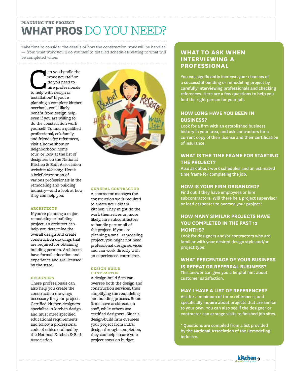# **PLANNING THE PROJECT WHAT PROS DO YOU NEED**

Take time to consider the details of how the construction work will be handled — from what work you'll do yourself to detailed schedules relating to what will be completed when.

an you handle the<br>
work yourself or<br>
do you need to<br>
to help with design or<br>
to help with design or work yourself or do you need to hire professionals installation? If you're planning a complete kitchen overhaul, you'll likely benefit from design help, even if you are willing to do the construction work yourself. To find a qualified professional, ask family and friends for references, visit a home show or neighborhood home tour, or look at the list of designers on the National Kitchen & Bath Association website: *nkba.org*. Here's a brief description of various professionals in the remodeling and building industry—and a look at how they can help you.

#### **ARCHITECTS**

If you're planning a major remodeling or building project, an architect can help you determine the overall design and create construction drawings that are required for obtaining building permits. Architects have formal education and experience and are licensed by the state.

#### **DESIGNERS**

These professionals can also help you create the construction drawings necessary for your project. Certified kitchen designers specialize in kitchen design and must meet specified educational requirements and follow a professional code of ethics outlined by the National Kitchen & Bath Association.



#### **GENERAL CONTRACTOR**

A contractor manages the construction work required to create your dream kitchen. They might do the work themselves or, more likely, hire subcontractors to handle part or all of the project. If you are planning a small remodeling project, you might not need professional design services and can work directly with an experienced contractor.

#### **DESIGN-BUILD CONTRACTOR**

A design-build firm can oversee both the design and construction services, thus simplifying the remodeling and building process. Some firms have architects on staff, while others use certified designers. Since a design-build firm oversees your project from initial design through completion, they can help ensure your project stays on budget.

#### **WHAT TO ASK WHEN INTERVIEWING A PROFESSIONAL**

You can significantly increase your chances of a successful building or remodeling project by carefully interviewing professionals and checking references. Here are a few questions to help you find the right person for your job.

#### **HOW LONG HAVE YOU BEEN IN BUSINESS?**

Look for a firm with an established business history in your area, and ask contractors for a current copy of their license and their certification of insurance.

#### **WHAT IS THE TIME FRAME FOR STARTING THE PROJECT?**

Also ask about work schedules and an estimated time frame for completing the job.

#### **HOW IS YOUR FIRM ORGANIZED?**

Find out if they have employees or hire subcontractors. Will there be a project supervisor or lead carpenter to oversee your project?

#### **HOW MANY SIMILAR PROJECTS HAVE YOU COMPLETED IN THE PAST 12 MONTHS?**

Look for designers and/or contractors who are familiar with your desired design style and/or project type.

#### **WHAT PERCENTAGE OF YOUR BUSINESS IS REPEAT OR REFERRAL BUSINESS?**

This answer can give you a helpful hint about customer satisfaction.

#### **MAY I HAVE A LIST OF REFERENCES?**

Ask for a minimum of three references, and specifically inquire about projects that are similar to your own. You can also see if the designer or contractor can arrange visits to finished job sites.

\* Questions are compiled from a list provided by the National Association of the Remodeling Industry.

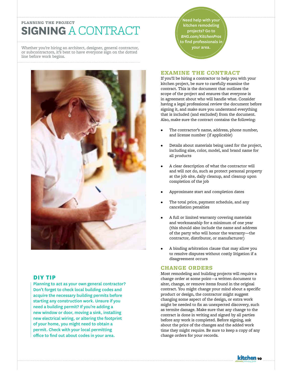# **PLANNING THE PROJECT SIGNING A CONTRAC**

Whether you're hiring an architect, designer, general contractor, or subcontractors, it's best to have everyone sign on the dotted line before work begins.



#### **DIY TIP**

Planning to act as your own general contractor? Don't forget to check local building codes and acquire the necessary building permits before starting any construction work. Unsure if you need a building permit? If you're adding a new window or door, moving a sink, installing new electrical wiring, or altering the footprint of your home, you might need to obtain a permit. Check with your local permitting office to find out about codes in your area.

Need help with your kitchen remodeling projects? Go to *BHG.com/KitchenPros* to find professionals in your area.

#### **EXAMINE THE CONTRACT**

If you'll be hiring a contractor to help you with your kitchen project, be sure to carefully examine the contract. This is the document that outlines the scope of the project and ensures that everyone is in agreement about who will handle what. Consider having a legal professional review the document before signing it, and make sure you understand everything that is included (and excluded) from the document. Also, make sure the contract contains the following:

- The contractor's name, address, phone number, and license number (if applicable)
- Details about materials being used for the project, including size, color, model, and brand name for all products
- A clear description of what the contractor will and will not do, such as protect personal property at the job site, daily cleanup, and cleanup upon completion of the job
- Approximate start and completion dates
- The total price, payment schedule, and any cancellation penalties
- A full or limited warranty covering materials and workmanship for a minimum of one year (this should also include the name and address of the party who will honor the warranty—the contractor, distributor, or manufacturer)
- A binding arbitration clause that may allow you to resolve disputes without costly litigation if a disagreement occurs

#### **CHANGE ORDERS**

Most remodeling and building projects will require a change order at some point—a written document to alter, change, or remove items found in the original contract. You might change your mind about a specific product or design, the contractor might suggest changing some aspect of the design, or extra work might be needed to fix an unexpected discovery, such as termite damage. Make sure that any change to the contract is done in writing and signed by all parties before any work is completed. Before signing, ask about the price of the changes and the added work time they might require. Be sure to keep a copy of any change orders for your records.

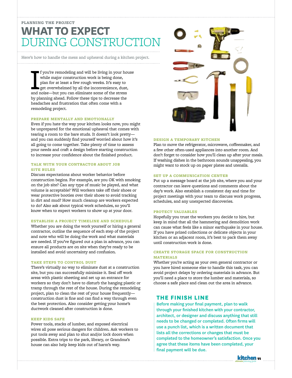# **PLANNING THE PROJECT WHAT TO EXPECT** RING CONSTRUC

Here's how to handle the mess and upheaval during a kitchen project.

If you're remodeling and will be living in your how<br>thile major construction work is being done,<br>plan for at least a few rough weeks. It's easy to<br>get overwhelmed by all the inconvenience, dust,<br>and noise—but you can elimi f you're remodeling and will be living in your house while major construction work is being done, plan for at least a few rough weeks. It's easy to get overwhelmed by all the inconvenience, dust, by planning ahead. Follow these tips to decrease the headaches and frustration that often come with a remodeling project.

#### **Prepare mentally and emotionally**

Even if you hate the way your kitchen looks now, you might be unprepared for the emotional upheaval that comes with tearing a room to the bare studs. It doesn't look pretty and you can suddenly find yourself worried about how it's all going to come together. Take plenty of time to assess your needs and craft a design before starting construction to increase your confidence about the finished product.

#### **Talk with your contractor about job site rules**

Discuss expectations about worker behavior before construction begins. For example, are you OK with smoking on the job site? Can any type of music be played, and what volume is acceptable? Will workers take off their shoes or wear protective booties over their shoes to avoid tracking in dirt and mud? How much cleanup are workers expected to do? Also ask about typical work schedules, so you'll know when to expect workers to show up at your door.

#### **Establish a project timeline and schedule**

Whether you are doing the work yourself or hiring a general contractor, outline the sequence of each step of the project and note who will be doing the work and what materials are needed. If you've figured out a plan in advance, you can ensure all products are on site when they're ready to be installed and avoid uncertainty and confusion.

#### **Take steps to control dust**

There's virtually no way to eliminate dust at a construction site, but you can successfully minimize it. Seal off work areas with plastic sheeting and set up an entrance for workers so they don't have to disturb the hanging plastic or tramp through the rest of the house. During the remodeling project, plan to clean the rest of your house frequently construction dust is fine and can find a way through even the best protection. Also consider getting your home's ductwork cleaned after construction is done.

#### **Keep kids safe**

Power tools, stacks of lumber, and exposed electrical wires all pose serious dangers for children. Ask workers to put tools away and plan to shut and/or lock doors when possible. Extra trips to the park, library, or Grandma's house can also help keep kids out of harm's way.



#### **Design a temporary kitchen**

Plan to move the refrigerator, microwave, coffeemaker, and a few other often-used appliances into another room. And don't forget to consider how you'll clean up after your meals. If washing dishes in the bathroom sounds unappealing, you might want to stock up on paper plates and utensils.

#### **Set up a communication center**

Put up a message board at the job site, where you and your contractor can leave questions and comments about the day's work. Also establish a consistent day and time for project meetings with your team to discuss work progress, schedules, and any unexpected discoveries.

#### **Protect valuables**

Hopefully you trust the workers you decide to hire, but keep in mind that all the hammering and demolition work can cause what feels like a minor earthquake in your house. If you have prized collections or delicate objects in your kitchen or an adjacent room, it's best to pack them away until construction work is done.

#### **Create storage space for construction materials**

Whether you're acting as your own general contractor or you have hired someone else to handle this task, you can avoid project delays by ordering materials in advance. But you'll need a place to store the lumber and materials, so choose a safe place and clean out the area in advance.

#### **THE FINISH LINE**

Before making your final payment, plan to walk through your finished kitchen with your contractor, architect, or designer and discuss anything that still needs to be changed or completed. Often firms will use a punch list, which is a written document that lists all the corrections or changes that must be completed to the homeowner's satisfaction. Once you agree that these items have been completed, your final payment will be due.

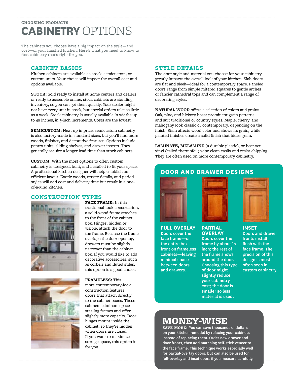# **CHOOSING PRODUCTS cabinetry**options

The cabinets you choose have a big impact on the style—and cost—of your finished kitchen. Here's what you need to know to find cabinetry that's right for you.

#### **Cabinet Basics**

Kitchen cabinets are available as stock, semicustom, or custom units. Your choice will impact the overall cost and options available.

**STOCK:** Sold ready to install at home centers and dealers or ready to assemble online, stock cabinets are standing inventory, so you can get them quickly. Your dealer might not have every unit in stock, but special orders take as little as a week. Stock cabinetry is usually available in widths up to 48 inches, in 3-inch increments. Costs are the lowest.

**Semicustom:** Next up in price, semicustom cabinetry is also factory-made in standard sizes, but you'll find more woods, finishes, and decorative features. Options include pantry units, sliding shelves, and drawer inserts. They generally require a longer lead time than stock cabinets.

**Custom:** With the most options to offer, custom cabinetry is designed, built, and installed to fit your space. A professional kitchen designer will help establish an efficient layout. Exotic woods, ornate details, and period styles will add cost and delivery time but result in a oneof-a-kind kitchen.

#### **Construction Types**





**Face Frame:** In this traditional-look construction, a solid-wood frame attaches to the front of the cabinet box. Hinges, hidden or visible, attach the door to the frame. Because the frame overlaps the door opening, drawers must be slightly narrower than the cabinet box. If you would like to add decorative accessories, such as corbels and fluted stiles, this option is a good choice.

#### **Frameless:** This

more contemporary-look construction features doors that attach directly to the cabinet boxes. These cabinets eliminate spacestealing frames and offer slightly more capacity. Door hinges mount inside the cabinet, so they're hidden when doors are closed. If you want to maximize storage space, this option is for you.

#### **Style Details**

The door style and material you choose for your cabinetry greatly impacts the overall look of your kitchen. Slab doors are flat and sleek—ideal for a contemporary space. Paneled doors range from simple mitered squares to gentle arches or fancier cathedral tops and can complement a range of decorating styles.

**NATURAL WOOD** offers a selection of colors and grains. Oak, pine, and hickory boast prominent grain patterns and suit traditional or country styles. Maple, cherry, and mahogany look classic or contemporary, depending on the finish. Stain affects wood color and shows its grain, while painted finishes create a solid finish that hides grain.

**Laminate, melamine** (a durable plastic), or heat-set vinyl (called thermofoil) wipe clean easily and resist chipping. They are often used on more contemporary cabinetry.

#### **Door and Drawer Designs**



**Full Overlay** Doors cover the face frame—or the entire box front on frameless cabinets—leaving minimal space between doors and drawers.

| the company's company's<br><b>Contract Contract Contract Contract</b><br>__ | __ |  | ـ |  |
|-----------------------------------------------------------------------------|----|--|---|--|
|                                                                             |    |  |   |  |
|                                                                             |    |  |   |  |
|                                                                             |    |  |   |  |
|                                                                             |    |  |   |  |

**Partial Overlay**

Doors cover the frame by about ½ inch; the rest of the frame shows around the door. Choosing this type of door might slightly reduce your cabinetry cost; the door is smaller so less material is used.

**Inset** Doors and drawer fronts install flush with the face frame. The precision of this design is most often seen in custom cabinetry.

# MONEY-WISE

**SAVE MORE:** You can save thousands of dollars on your kitchen remodel by refacing your cabinets instead of replacing them. Order new drawer and door fronts, then add matching self-stick veneer to the face frame. This technique works especially well for partial-overlay doors, but can also be used for full-overlay and inset doors if you measure carefully.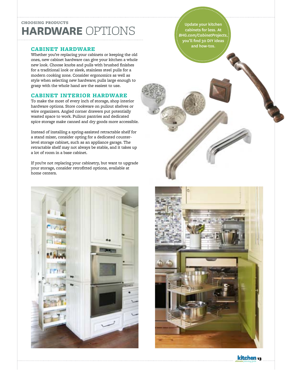# **CHOOSING PRODUCTS hardware** OPTIONS

#### **Cabinet Hardware**

Whether you're replacing your cabinets or keeping the old ones, new cabinet hardware can give your kitchen a whole new look. Choose knobs and pulls with brushed finishes for a traditional look or sleek, stainless steel pulls for a modern cooking zone. Consider ergonomics as well as style when selecting new hardware; pulls large enough to grasp with the whole hand are the easiest to use.

#### **cabinet interior hardware**

To make the most of every inch of storage, shop interior hardware options. Store cookware on pullout shelves or wire organizers. Angled corner drawers put potentially wasted space to work. Pullout pantries and dedicated spice storage make canned and dry goods more accessible.

Instead of installing a spring-assisted retractable shelf for a stand mixer, consider opting for a dedicated counterlevel storage cabinet, such as an appliance garage. The retractable shelf may not always be stable, and it takes up a lot of room in a base cabinet.

If you're not replacing your cabinetry, but want to upgrade your storage, consider retrofitted options, available at home centers.



Update your kitchen cabinets for less. At *BHG.com/CabinetProjects*, you'll find 30 DIY ideas and how-tos.



**kitchen** 13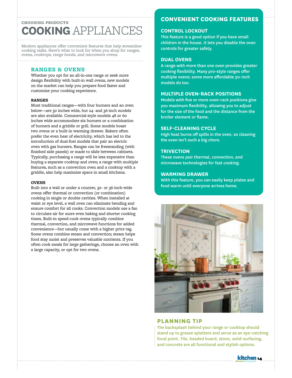# **CHOOSING PRODUCTS COOKING APPLIAN**

Modern appliances offer convenient features that help streamline cooking tasks. Here's what to look for when you shop for ranges, ovens, cooktops, range hoods, and microwave ovens.

#### **Ranges & Ovens**

Whether you opt for an all-in-one range or seek more design flexibility with built-in wall ovens, new models on the market can help you prepare food faster and customize your cooking experience.

#### **Ranges**

Most traditional ranges—with four burners and an oven below—are 30 inches wide, but 24- and 36-inch models are also available. Commercial-style models 48 or 60 inches wide accommodate six burners or a combination of burners and a griddle or grill. Some models boast two ovens or a built-in warming drawer. Bakers often prefer the even heat of electricity, which has led to the introduction of dual-fuel models that pair an electric oven with gas burners. Ranges can be freestanding (with finished side panels) or made to slide between cabinets. Typically, purchasing a range will be less expensive than buying a separate cooktop and oven; a range with multiple features, such as a convection oven and a cooktop with a griddle, also help maximize space in small kitchens.

#### **Ovens**

Built into a wall or under a counter, 30- or 36-inch-wide ovens offer thermal or convection (or combination) cooking in single or double cavities. When installed at waist or eye level, a wall oven can eliminate bending and ensure comfort for all cooks. Convection models use a fan to circulate air for more even baking and shorter cooking times. Built-in speed-cook ovens typically combine thermal, convection, and microwave functions for added convenience—but usually come with a higher price tag. Some ovens combine steam and convection; steam helps food stay moist and preserves valuable nutrients. If you often cook meals for large gatherings, choose an oven with a large capacity, or opt for two ovens.

#### **Convenient cooking Features**

#### **Control lockout**

This feature is a good option if you have small children in the house. It lets you disable the oven controls for greater safety.

#### **Dual ovens**

A range with more than one oven provides greater cooking flexibility. Many pro-style ranges offer multiple ovens; some more affordable 30-inch models do too.

#### **Multiple oven-rack positions**

Models with five or more oven-rack positions give you maximum flexibility, allowing you to adjust for the size of the food and the distance from the broiler element or flame.

#### **Self-cleaning cycle**

High heat burns off spills in the oven, so cleaning the oven isn't such a big chore.

#### **Trivection**

These ovens pair thermal, convection, and microwave technologies for fast cooking.

#### **Warming drawer**

With this feature, you can easily keep plates and food warm until everyone arrives home.



#### **PLANNING TIP**

The backsplash behind your range or cooktop should stand up to grease splatters and serve as an eye-catching focal point. Tile, beaded board, stone, solid-surfacing, and concrete are all functional and stylish options.

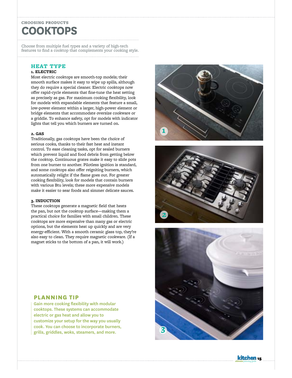# **CHOOSING PRODUCTS COOKtops**

Choose from multiple fuel types and a variety of high-tech features to find a cooktop that complements your cooking style.

#### **Heat Type**

#### **1. Electric**

Most electric cooktops are smooth-top models; their smooth surface makes it easy to wipe up spills, although they do require a special cleaner. Electric cooktops now offer rapid-cycle elements that fine-tune the heat setting as precisely as gas. For maximum cooking flexibility, look for models with expandable elements that feature a small, low-power element within a larger, high-power element or bridge elements that accommodate oversize cookware or a griddle. To enhance safety, opt for models with indicator lights that tell you which burners are turned on.

#### **2. Gas**

Traditionally, gas cooktops have been the choice of serious cooks, thanks to their fast heat and instant control. To ease cleaning tasks, opt for sealed burners which prevent liquid and food debris from getting below the cooktop. Continuous grates make it easy to slide pots from one burner to another. Pilotless ignition is standard, and some cooktops also offer reigniting burners, which automatically relight if the flame goes out. For greater cooking flexibility, look for models that contain burners with various Btu levels; these more expensive models make it easier to sear foods and simmer delicate sauces.

#### **3. Induction**

These cooktops generate a magnetic field that heats the pan, but not the cooktop surface—making them a practical choice for families with small children. These cooktops are more expensive than many gas or electric options, but the elements heat up quickly and are very energy-efficient. With a smooth ceramic glass top, they're also easy to clean. They require magnetic cookware. (If a magnet sticks to the bottom of a pan, it will work.)







#### **PLANNING TIP**

Gain more cooking flexibility with modular cooktops. These systems can accommodate electric or gas heat and allow you to customize your setup for the way you usually cook. You can choose to incorporate burners, grills, griddles, woks, steamers, and more.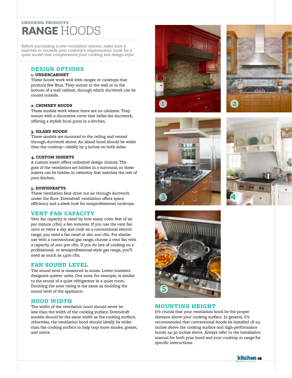# **CHOOSING PRODUCTS RANGE HOOD**

Before purchasing a new ventilation system, make sure it matches or exceeds your cooktop's requirements. Look for a quiet model that complements your cooking and design style.

#### **Design Options**

#### **1. Undercabinet**

These hoods work well with ranges or cooktops that produce few Btus. They mount to the wall or to the bottom of a wall cabinet, through which ductwork can be routed outside.

#### **2. Chimney Hoods**

These models work where there are no cabinets. They mount with a decorative cover that hides the ductwork, offering a stylish focal point in a kitchen.

#### **3. Island Hoods**

These models are mounted to the ceiling and vented through ductwork above. An island hood should be wider than the cooktop—ideally by 3 inches on both sides.

#### **4. Custom Inserts**

A custom insert offers unlimited design choices. The guts of the ventilation are hidden in a surround, so these inserts can be hidden in cabinetry that matches the rest of your kitchen.

#### **5. Downdrafts**

These ventilation fans draw out air through ductwork under the floor. Downdraft ventilation offers space efficiency and a sleek look for nonprofessional cooktops.

#### **Vent Fan Capacity**

Vent fan capacity is rated by how many cubic feet of air per minute (cfm) a fan removes. If you use the vent fan once or twice a day and cook on a conventional electric range, you need a fan rated at 160–200 cfm. For similar use with a conventional gas range, choose a vent fan with a capacity of 200–300 cfm. If you do lots of cooking on a professional- or semiprofessional-style gas range, you'll need as much as 1,500 cfm.

#### **Fan Sound Level**

The sound level is measured in sones. Lower numbers designate quieter units. One sone, for example, is similar to the sound of a quiet refrigerator in a quiet room. Doubling the sone rating is the same as doubling the sound level of the appliance.

#### **Hood Width**

The width of the ventilation hood should never be less than the width of the cooking surface. Downdraft models should be the same width as the cooking surface; otherwise, the ventilation hood should ideally be wider than the cooking surface to help trap more smoke, grease, and odors.











#### **Mounting Height**

It's crucial that your ventilation hood be the proper distance above your cooking surface. In general, it's recommended that conventional hoods be installed 18–24 inches above the cooking surface and high-performance hoods 24–30 inches above. Always refer to the installation manual for both your hood and your cooktop or range for specific instructions.

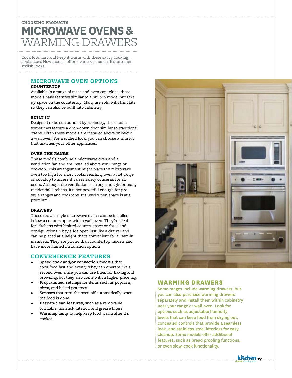# **CHOOSING PRODUCTS MICROWAVE OVENS &**  WARMING DRAWERS

Cook food fast and keep it warm with these savvy cooking appliances. New models offer a variety of smart features and stylish looks.

#### **Microwave OVEN Options Countertop**

Available in a range of sizes and oven capacities, these models have features similar to a built-in model but take up space on the countertop. Many are sold with trim kits so they can also be built into cabinetry.

#### **Built-in**

Designed to be surrounded by cabinetry, these units sometimes feature a drop-down door similar to traditional ovens. Often these models are installed above or below a wall oven. For a unified look, you can choose a trim kit that matches your other appliances.

#### **Over-the-range**

These models combine a microwave oven and a ventilation fan and are installed above your range or cooktop. This arrangement might place the microwave oven too high for short cooks; reaching over a hot range or cooktop to access it raises safety concerns for all users. Although the ventilation is strong enough for many residential kitchens, it's not powerful enough for prostyle ranges and cooktops. It's used when space is at a premium.

#### **Drawers**

These drawer-style microwave ovens can be installed below a countertop or with a wall oven. They're ideal for kitchens with limited counter space or for island configurations. They slide open just like a drawer and can be placed at a height that's convenient for all family members. They are pricier than countertop models and have more limited installation options.

#### **Convenience Features**

- **Speed cook and/or convection models** that cook food fast and evenly. They can operate like a second oven since you can use them for baking and browning, but they also come with a higher price tag.
- **Programmed settings** for items such as popcorn, pizza, and baked potatoes
- **Sensors** that turn the oven off automatically when the food is done
- **Easy-to-clean features,** such as a removable turntable, nonstick interior, and grease filters
- **Warming lamp** to help keep food warm after it's cooked



#### **WARMING DRAWERS**

Some ranges include warming drawers, but you can also purchase warming drawers separately and install them within cabinetry near your range or wall oven. Look for options such as adjustable humidity levels that can keep food from drying out, concealed controls that provide a seamless look, and stainless-steel interiors for easy cleanup. Some models offer additional features, such as bread proofing functions, or even slow-cook functionality.

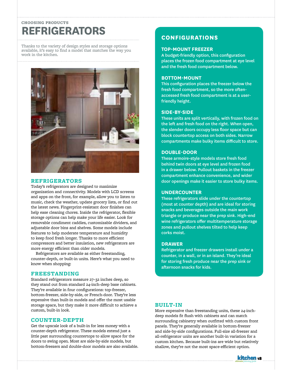# **CHOOSING PRODUCTS Refrigerators**

Thanks to the variety of design styles and storage options available, it's easy to find a model that matches the way you work in the kitchen.



#### **REFRIGERATORS**

Today's refrigerators are designed to maximize organization and connectivity. Models with LCD screens and apps on the front, for example, allow you to listen to music, check the weather, update grocery lists, or find out the latest news. Fingerprint-resistant door finishes can help ease cleaning chores. Inside the refrigerator, flexible storage options can help make your life easier. Look for removable condiment caddies, customizable dividers, and adjustable door bins and shelves. Some models include features to help moderate temperature and humidity to keep food fresh longer. Thanks to more efficient compressors and better insulation, new refrigerators are more energy efficient than older models.

Refrigerators are available as either freestanding, counter-depth, or built-in units. Here's what you need to know when shopping:

#### **Freestanding**

Standard refrigerators measure 27–32 inches deep, so they stand out from standard 24-inch-deep base cabinets. They're available in four configurations: top-freezer, bottom-freezer, side-by-side, or French-door. They're less expensive than built-in models and offer the most usable storage space, but they make it more difficult to achieve a custom, built-in look.

#### **Counter-depth**

Get the upscale look of a built-in for less money with a counter-depth refrigerator. These models extend just a little past surrounding countertops to allow space for the doors to swing open. Most are side-by-side models, but bottom-freezers and double-door models are also available.

#### **Configurations**

#### **Top-Mount Freezer**

A budget-friendly option, this configuration places the frozen food compartment at eye level and the fresh food compartment below.

#### **Bottom-Mount**

This configuration places the freezer below the fresh food compartment, so the more oftenaccessed fresh food compartment is at a userfriendly height.

#### **Side-by-Side**

These units are split vertically, with frozen food on the left and fresh food on the right. When open, the slender doors occupy less floor space but can block countertop access on both sides. Narrow compartments make bulky items difficult to store.

#### **DOUBLE-Door**

These armoire-style models store fresh food behind twin doors at eye level and frozen food in a drawer below. Pullout baskets in the freezer compartment enhance convenience, and wider door openings make it easier to store bulky items.

#### **Undercounter**

These refrigerators slide under the countertop (most at counter depth) and are ideal for storing snacks and beverages outside the main work triangle or produce near the prep sink. High-end wine refrigerators offer multitemperature storage zones and pullout shelves tilted to help keep corks moist.

#### **Drawer**

Refrigerator and freezer drawers install under a counter, in a wall, or in an island. They're ideal for storing fresh produce near the prep sink or afternoon snacks for kids.

#### **Built-in**

More expensive than freestanding units, these 24-inchdeep models fit flush with cabinets and can match surrounding cabinetry when outfitted with custom front panels. They're generally available in bottom-freezer and side-by-side configurations. Full-size all-freezer and all-refrigerator units are another built-in variation for a custom kitchen. Because built-ins are wide but relatively shallow, they're not the most space-efficient option.

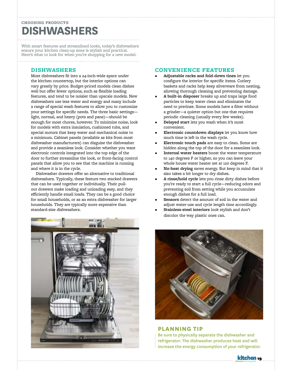# **CHOOSING PRODUCTS Dishwashers**

With smart features and streamlined looks, today's dishwashers ensure your kitchen clean-up zone is stylish and practical. Here's what to look for when you're shopping for a new model.

#### **DISHWASHERS**

Most dishwashers fit into a 24-inch-wide space under the kitchen countertop, but the interior options can vary greatly by price. Budget-priced models clean dishes well but offer fewer options, such as flexible loading features, and tend to be noisier than upscale models. New dishwashers use less water and energy and many include a range of special wash features to allow you to customize your settings for specific needs. The three basic settings light, normal, and heavy (pots and pans)—should be enough for most chores, however. To minimize noise, look for models with extra insulation, cushioned tubs, and special motors that keep water and mechanical noise to a minimum. Cabinet panels (available as kits from most dishwasher manufacturers) can disguise the dishwasher and provide a seamless look. Consider whether you want electronic controls integrated into the top edge of the door to further streamline the look, or front-facing control panels that allow you to see that the machine is running and where it is in the cycle.

Dishwasher drawers offer an alternative to traditional dishwashers. Typically, these feature two stacked drawers that can be used together or individually. Their pullout drawers make loading and unloading easy, and they efficiently handle small loads. They can be a good choice for small households, or as an extra dishwasher for larger households. They are typically more expensive than standard-size dishwashers.



#### **Convenience Features**

- **• Adjustable racks and fold-down tines** let you configure the interior for specific items. Cutlery baskets and racks help keep silverware from nesting, allowing thorough cleaning and preventing damage.
- **• A built-in disposer** breaks up and traps large food particles to keep water clean and eliminates the need to prerinse. Some models have a filter without a grinder—a quieter option but one that requires periodic cleaning (usually every few weeks).
- **• Delayed start** lets you wash when it's most convenient.
- **Electronic countdown displays** let you know how much time is left in the wash cycle.
- **Electronic touch pads** are easy to clean. Some are hidden along the top of the door for a seamless look.
- **Internal water heaters** boost the water temperature to 140 degrees F or higher, so you can leave your whole house water heater set at 120 degrees F.
- **• No-heat drying** saves energy. But keep in mind that it also takes a bit longer to dry dishes.
- **• A rinse/hold cycle** lets you rinse dirty dishes before you're ready to start a full cycle—reducing odors and preventing soil from setting while you accumulate enough dishes for a full load.
- Sensors detect the amount of soil in the water and adjust water-use and cycle length time accordingly.
- **Stainless-steel interiors** look stylish and don't discolor the way plastic ones can.



#### **PLANNING TIP**

Be sure to physically separate the dishwasher and refrigerator. The dishwasher produces heat and will  $\vdots$  increase the energy consumption of your refrigerator.

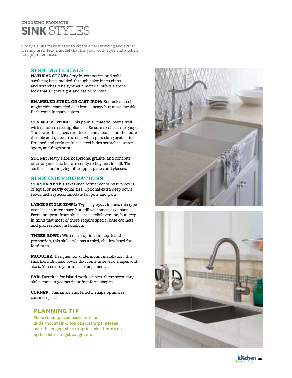# **CHOOSING PRODUCTS SINK** STYLES

Today's sinks make it easy to create a hardworking and stylish cleanup area. Pick a model that fits your work style and kitchen design preferences.

#### **SINK Materials**

**NATURAL STONE:** Acrylic, composite, and solidsurfacing have molded-through color hides chips and scratches. The synthetic material offers a stone look that's lightweight and easier to install.

**Enameled steel or cast iron:** Enameled steel might chip; enameled cast iron is heavy but more durable. Both come in many colors.

**STAINLESS STEEL:** This popular material teams well with stainless steel appliances. Be sure to check the gauge: The lower the gauge, the thicker the metal—and the more durable and quieter the sink when pots clang against it. Brushed and satin stainless steel hides scratches, water spots, and fingerprints.

**STONE:** Heavy slate, soapstone, granite, and concrete offer organic chic but are costly to buy and install. The surface is unforgiving of dropped plates and glasses.

#### **SINK Configurations**

**STANDARD:** This 33×22-inch format contains two bowls of equal or nearly equal size. Optional extra deep bowls (10-14 inches) accommodate tall pots and pans.

**Large Single-Bowl:** Typically 25×22 inches, this type uses less counter space but still welcomes large pans. Farm, or apron-front sinks, are a stylish version, but keep in mind that most of these require special base cabinets and professional installation.

**Three-Bowl:** With extra options in depth and proportion, this sink style has a third, shallow bowl for food prep.

**MODULAR:** Designed for undermount installation, this sink has individual bowls that come in several shapes and sizes. You create your ideal arrangement.

**BAR:** Favorites for island work centers, these secondary sinks come in geometric or free-form shapes.

**Corner:** This sink's shortened L shape optimizes counter space.

#### **PLANNING TIP**

Make cleanup even easier with an undermount sink. You can just wipe messes over the edge; unlike drop-in sinks, there's no lip for debris to get caught on.



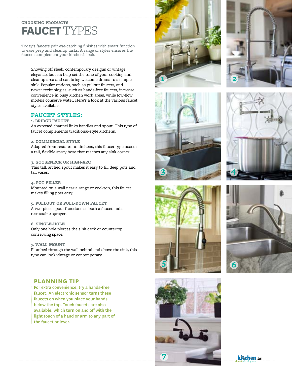# **CHOOSING PRODUCTS faucet** types

Today's faucets pair eye-catching finishes with smart function to ease prep and cleanup tasks. A range of styles ensures the faucets complement your kitchen's look.

Showing off sleek, contemporary designs or vintage elegance, faucets help set the tone of your cooking and cleanup area and can bring welcome drama to a simple sink. Popular options, such as pullout faucets, and newer technologies, such as hands-free faucets, increase convenience in busy kitchen work areas, while low-flow models conserve water. Here's a look at the various faucet styles available.

#### **Faucet Styles:**

#### **1. Bridge Faucet**

An exposed channel links handles and spout. This type of faucet complements traditional-style kitchens.

#### **2. Commercial-style**

Adapted from restaurant kitchens, this faucet type boasts a tall, flexible spray hose that reaches any sink corner.

#### **3. Gooseneck or High-Arc**

This tall, arched spout makes it easy to fill deep pots and tall vases.

#### **4. Pot Filler**

Mounted on a wall near a range or cooktop, this faucet makes filling pots easy.

#### **5. Pullout or Pull-down Faucet**

A two-piece spout functions as both a faucet and a retractable sprayer.

#### **6. Single-Hole**

Only one hole pierces the sink deck or countertop, conserving space.

#### **7. Wall-Mount**

Plumbed through the wall behind and above the sink, this type can look vintage or contemporary.

#### **PLANNING TIP**

For extra convenience, try a hands-free faucet. An electronic sensor turns these faucets on when you place your hands below the tap. Touch faucets are also available, which turn on and off with the light touch of a hand or arm to any part of the faucet or lever.















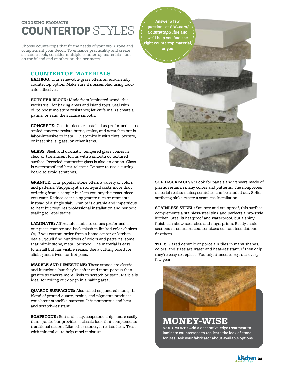# **CHOOSING PRODUCTS countertop** STYLES

Choose countertops that fit the needs of your work zone and complement your decor. To enhance practicality and create a custom look, consider multiple countertop materials—one on the island and another on the perimeter.

#### **countertop Materials**

**Bamboo:** This renewable grass offers an eco-friendly countertop option. Make sure it's assembled using foodsafe adhesives.

**BUTCHER BLOCK:** Made from laminated wood, this works well for baking areas and island tops. Seal with oil to boost moisture resistance; let knife marks create a patina, or sand the surface smooth.

**CONCRETE:** Cast in place or installed as preformed slabs, sealed concrete resists burns, stains, and scratches but is labor-intensive to install. Customize it with tints, texture, or inset shells, glass, or other items.

**Glass**: Sleek and dramatic, tempered glass comes in clear or translucent forms with a smooth or textured surface. Recycled composite glass is also an option. Glass is waterproof and heat-tolerant. Be sure to use a cutting board to avoid scratches.

**GRANITE:** This popular stone offers a variety of colors and patterns. Shopping at a stoneyard costs more than ordering from a sample but lets you buy the exact piece you want. Reduce cost using granite tiles or remnants instead of a single slab. Granite is durable and impervious to heat but requires professional installation and periodic sealing to repel stains.

**Laminate:** Affordable laminate comes preformed as a one-piece counter and backsplash in limited color choices. Or, if you custom-order from a home center or kitchen dealer, you'll find hundreds of colors and patterns, some that mimic stone, metal, or wood. The material is easy to install but has visible seams. Use a cutting board for slicing and trivets for hot pans.

**Marble and Limestone:** These stones are classic and luxurious, but they're softer and more porous than granite so they're more likely to scratch or stain. Marble is ideal for rolling out dough in a baking area.

**Quartz-surfacing:** Also called engineered stone, this blend of ground quartz, resins, and pigments produces consistent stonelike patterns. It is nonporous and heatand scratch-resistant.

**Soapstone:** Soft and silky, soapstone chips more easily than granite but provides a classic look that complements traditional decors. Like other stones, it resists heat. Treat with mineral oil to help repel moisture.

Answer a few questions at *BHG.com/ CountertopGuide* and we'll help you find the right countertop materia

for you.

**Solid-Surfacing:** Look for panels and veneers made of plastic resins in many colors and patterns. The nonporous material resists stains; scratches can be sanded out. Solidsurfacing sinks create a seamless installation.

**STAINLESS STEEL:** Sanitary and stainproof, this surface complements a stainless-steel sink and perfects a pro-style kitchen. Steel is heatproof and waterproof, but a shiny finish can show scratches and fingerprints. Ready-made sections fit standard counter sizes; custom installations fit others.

**Tile:** Glazed ceramic or porcelain tiles in many shapes, colors, and sizes are water and heat-resistant. If they chip, they're easy to replace. You might need to regrout every few years.



## MONEY-W

**SAVE MORE:** Add a decorative edge treatment to laminate countertops to replicate the look of stone for less. Ask your fabricator about available options.

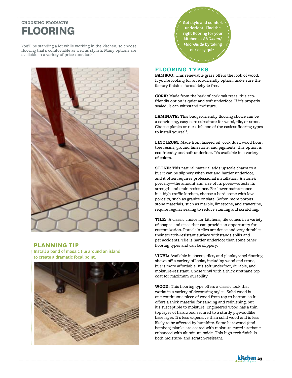# **CHOOSING PRODUCTS flooring**

You'll be standing a lot while working in the kitchen, so choose flooring that's comfortable as well as stylish. Many options are available in a variety of prices and looks.



#### **PLANNING TIP**

Install a band of mosaic tile around an island to create a dramatic focal point.



Get style and comfort underfoot. Find the right flooring for your kitchen at *BHG.com/ FloorGuide* by taking our easy quiz.

#### **Flooring Types**

**BAMBOO:** This renewable grass offers the look of wood. If you're looking for an eco-friendly option, make sure the factory finish is formaldehyde-free.

**Cork:** Made from the bark of cork oak trees, this ecofriendly option is quiet and soft underfoot. If it's properly sealed, it can withstand moisture.

LAMINATE: This budget-friendly flooring choice can be a convincing, easy-care substitute for wood, tile, or stone. Choose planks or tiles. It's one of the easiest flooring types to install yourself.

**Linoleum:** Made from linseed oil, cork dust, wood flour, tree resins, ground limestone, and pigments, this option is eco-friendly and soft underfoot. It's available in a variety of colors.

**STONE:** This natural material adds upscale charm to a but it can be slippery when wet and harder underfoot, and it often requires professional installation. A stone's porosity—the amount and size of its pores—affects its strength and stain resistance. For lower maintenance in a high-traffic kitchen, choose a hard stone with low porosity, such as granite or slate. Softer, more porous stone materials, such as marble, limestone, and travertine, require regular sealing to reduce staining and scratching.

**Tile:** A classic choice for kitchens, tile comes in a variety of shapes and sizes that can provide an opportunity for customization. Porcelain tiles are dense and very durable; their scratch-resistant surface withstands spills and pet accidents. Tile is harder underfoot than some other flooring types and can be slippery.

**Vinyl:** Available in sheets, tiles, and planks, vinyl flooring shows off a variety of looks, including wood and stone, but is more affordable. It's soft underfoot, durable, and moisture-resistant. Chose vinyl with a thick urethane top coat for maximum durability.

**Wood:** This flooring type offers a classic look that works in a variety of decorating styles. Solid wood is one continuous piece of wood from top to bottom so it offers a thick material for sanding and refinishing, but it's susceptible to moisture. Engineered wood has a thin top layer of hardwood secured to a sturdy plywoodlike base layer. It's less expensive than solid wood and is less likely to be affected by humidity. Some hardwood (and bamboo) planks are coated with moisture-cured urethane enhanced with aluminum oxide. This high-tech finish is both moisture- and scratch-resistant.

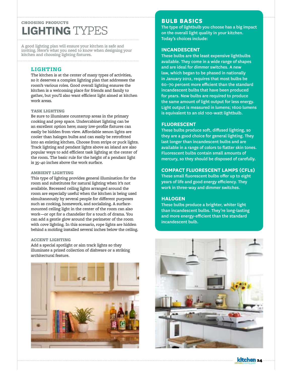# **CHOOSING PRODUCTS Lighting**TYPES

A good lighting plan will ensure your kitchen is safe and inviting. Here's what you need to know when designing your kitchen and choosing lighting fixtures.

#### **LIGHTING**

The kitchen is at the center of many types of activities, so it deserves a complex lighting plan that addresses the room's various roles. Good overall lighting ensures the kitchen is a welcoming place for friends and family to gather, but you'll also want efficient light aimed at kitchen work areas.

#### **Task lighting**

Be sure to illuminate countertop areas in the primary cooking and prep space. Undercabinet lighting can be an excellent option here; many low-profile fixtures can easily be hidden from view. Affordable xenon lights are cooler than halogen bulbs and can easily be retrofitted into an existing kitchen. Choose from strips or puck lights. Track lighting and pendant lights above an island are also popular ways to add efficient task lighting at the center of the room. The basic rule for the height of a pendant light is 35–40 inches above the work surface.

#### **Ambient lighting**

This type of lighting provides general illumination for the room and substitutes for natural lighting when it's not available. Recessed ceiling lights arranged around the room are especially useful when the kitchen is being used simultaneously by several people for different purposes such as cooking, homework, and socializing. A surfacemounted ceiling light in the center of the room can also work—or opt for a chandelier for a touch of drama. You can add a gentle glow around the perimeter of the room with cove lighting. In this scenario, rope lights are hidden behind a molding installed several inches below the ceiling.

#### **Accent lighting**

Add a special spotlight or aim track lights so they illuminate a prized collection of dishware or a striking architectural feature.



#### **Bulb Basics**

The type of lightbulb you choose has a big impact on the overall light quality in your kitchen. Today's choices include:

#### **Incandescent**

These bulbs are the least expensive lightbulbs available. They come in a wide range of shapes and are ideal for dimmer switches. A new law, which began to be phased in nationally in January 2012, requires that most bulbs be 60–70 percent more efficient than the standard incandescent bulbs that have been produced for years. New bulbs are required to produce the same amount of light output for less energy. Light output is measured in lumens; 1600 lumens is equivalent to an old 100-watt lightbulb.

#### **Fluorescent**

These bulbs produce soft, diffused lighting, so they are a good choice for general lighting. They last longer than incandescent bulbs and are available in a range of colors to flatter skin tones. Fluorescent bulbs contain small amounts of mercury, so they should be disposed of carefully.

#### **Compact Fluorescent Lamps (CFLs)**

These small fluorescent bulbs offer up to eight years of life and good energy efficiency. They work in three-way and dimmer switches.

#### **Halogen**

These bulbs produce a brighter, whiter light than incandescent bulbs. They're long-lasting and more energy-efficient than the standard incandescent bulb.